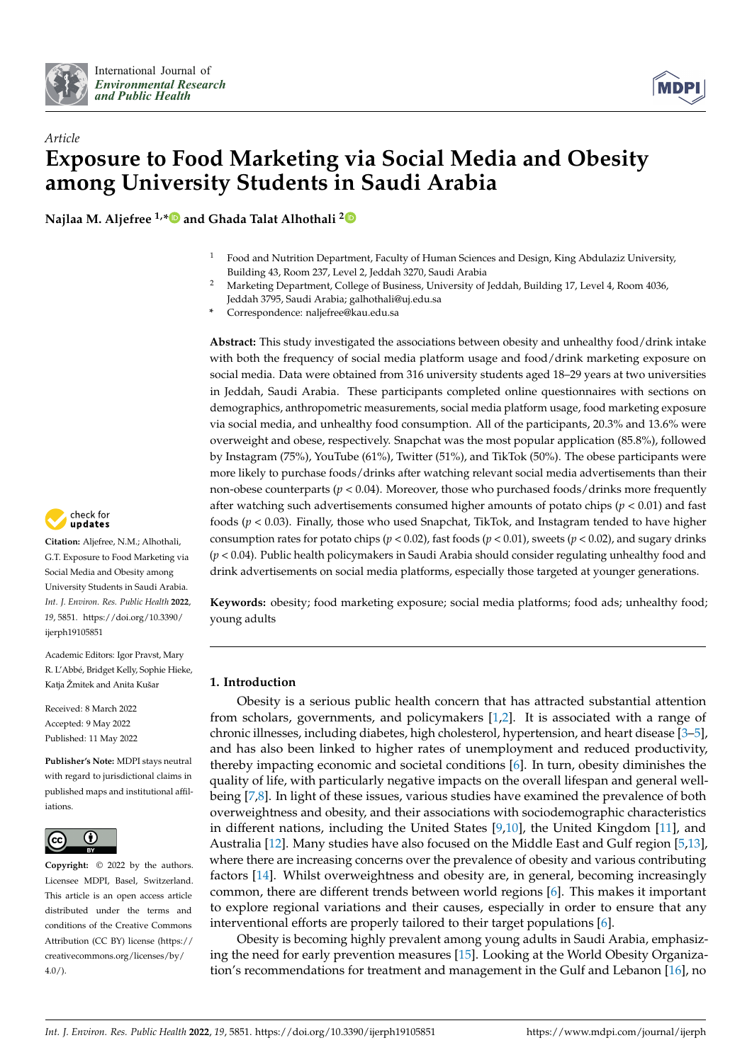



# *Article* **Exposure to Food Marketing via Social Media and Obesity among University Students in Saudi Arabia**

**Najlaa M. Aljefree 1,[\\*](https://orcid.org/0000-0001-9598-7140) and Ghada Talat Alhothali [2](https://orcid.org/0000-0002-6264-2223)**

- $1$  Food and Nutrition Department, Faculty of Human Sciences and Design, King Abdulaziz University, Building 43, Room 237, Level 2, Jeddah 3270, Saudi Arabia
- <sup>2</sup> Marketing Department, College of Business, University of Jeddah, Building 17, Level 4, Room 4036, Jeddah 3795, Saudi Arabia; galhothali@uj.edu.sa
- **\*** Correspondence: naljefree@kau.edu.sa

**Abstract:** This study investigated the associations between obesity and unhealthy food/drink intake with both the frequency of social media platform usage and food/drink marketing exposure on social media. Data were obtained from 316 university students aged 18–29 years at two universities in Jeddah, Saudi Arabia. These participants completed online questionnaires with sections on demographics, anthropometric measurements, social media platform usage, food marketing exposure via social media, and unhealthy food consumption. All of the participants, 20.3% and 13.6% were overweight and obese, respectively. Snapchat was the most popular application (85.8%), followed by Instagram (75%), YouTube (61%), Twitter (51%), and TikTok (50%). The obese participants were more likely to purchase foods/drinks after watching relevant social media advertisements than their non-obese counterparts (*p* < 0.04). Moreover, those who purchased foods/drinks more frequently after watching such advertisements consumed higher amounts of potato chips  $(p < 0.01)$  and fast foods  $(p < 0.03)$ . Finally, those who used Snapchat, TikTok, and Instagram tended to have higher consumption rates for potato chips (*p* < 0.02), fast foods (*p* < 0.01), sweets (*p* < 0.02), and sugary drinks (*p* < 0.04). Public health policymakers in Saudi Arabia should consider regulating unhealthy food and drink advertisements on social media platforms, especially those targeted at younger generations.

**Keywords:** obesity; food marketing exposure; social media platforms; food ads; unhealthy food; young adults

# **1. Introduction**

Obesity is a serious public health concern that has attracted substantial attention from scholars, governments, and policymakers [\[1,](#page-10-0)[2\]](#page-10-1). It is associated with a range of chronic illnesses, including diabetes, high cholesterol, hypertension, and heart disease [\[3–](#page-10-2)[5\]](#page-11-0), and has also been linked to higher rates of unemployment and reduced productivity, thereby impacting economic and societal conditions [\[6\]](#page-11-1). In turn, obesity diminishes the quality of life, with particularly negative impacts on the overall lifespan and general wellbeing [\[7](#page-11-2)[,8\]](#page-11-3). In light of these issues, various studies have examined the prevalence of both overweightness and obesity, and their associations with sociodemographic characteristics in different nations, including the United States [\[9](#page-11-4)[,10\]](#page-11-5), the United Kingdom [\[11\]](#page-11-6), and Australia [\[12\]](#page-11-7). Many studies have also focused on the Middle East and Gulf region [\[5,](#page-11-0)[13\]](#page-11-8), where there are increasing concerns over the prevalence of obesity and various contributing factors [\[14\]](#page-11-9). Whilst overweightness and obesity are, in general, becoming increasingly common, there are different trends between world regions [\[6\]](#page-11-1). This makes it important to explore regional variations and their causes, especially in order to ensure that any interventional efforts are properly tailored to their target populations [\[6\]](#page-11-1).

Obesity is becoming highly prevalent among young adults in Saudi Arabia, emphasizing the need for early prevention measures [\[15\]](#page-11-10). Looking at the World Obesity Organization's recommendations for treatment and management in the Gulf and Lebanon [\[16\]](#page-11-11), no



**Citation:** Aljefree, N.M.; Alhothali, G.T. Exposure to Food Marketing via Social Media and Obesity among University Students in Saudi Arabia. *Int. J. Environ. Res. Public Health* **2022**, *19*, 5851. [https://doi.org/10.3390/](https://doi.org/10.3390/ijerph19105851) [ijerph19105851](https://doi.org/10.3390/ijerph19105851)

Academic Editors: Igor Pravst, Mary R. L'Abbé, Bridget Kelly, Sophie Hieke, Katia Žmitek and Anita Kušar

Received: 8 March 2022 Accepted: 9 May 2022 Published: 11 May 2022

**Publisher's Note:** MDPI stays neutral with regard to jurisdictional claims in published maps and institutional affiliations.



**Copyright:** © 2022 by the authors. Licensee MDPI, Basel, Switzerland. This article is an open access article distributed under the terms and conditions of the Creative Commons Attribution (CC BY) license [\(https://](https://creativecommons.org/licenses/by/4.0/) [creativecommons.org/licenses/by/](https://creativecommons.org/licenses/by/4.0/)  $4.0/$ ).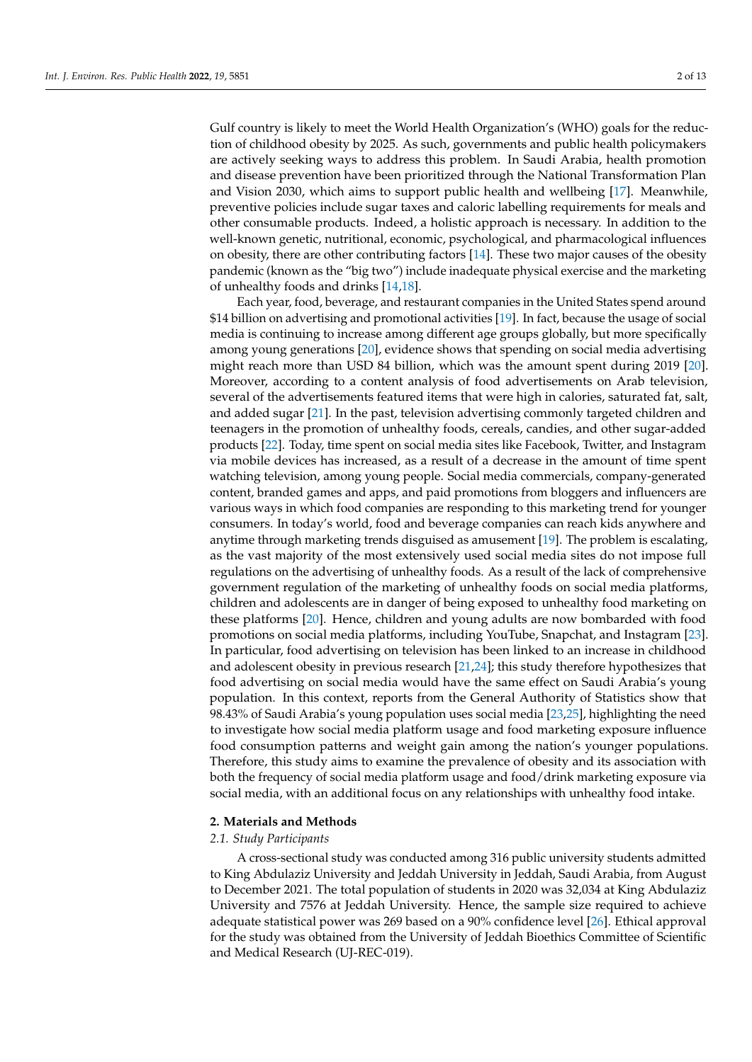Gulf country is likely to meet the World Health Organization's (WHO) goals for the reduction of childhood obesity by 2025. As such, governments and public health policymakers are actively seeking ways to address this problem. In Saudi Arabia, health promotion and disease prevention have been prioritized through the National Transformation Plan and Vision 2030, which aims to support public health and wellbeing [\[17\]](#page-11-12). Meanwhile, preventive policies include sugar taxes and caloric labelling requirements for meals and other consumable products. Indeed, a holistic approach is necessary. In addition to the well-known genetic, nutritional, economic, psychological, and pharmacological influences on obesity, there are other contributing factors [\[14\]](#page-11-9). These two major causes of the obesity pandemic (known as the "big two") include inadequate physical exercise and the marketing of unhealthy foods and drinks [\[14,](#page-11-9)[18\]](#page-11-13).

Each year, food, beverage, and restaurant companies in the United States spend around \$14 billion on advertising and promotional activities [\[19\]](#page-11-14). In fact, because the usage of social media is continuing to increase among different age groups globally, but more specifically among young generations [\[20\]](#page-11-15), evidence shows that spending on social media advertising might reach more than USD 84 billion, which was the amount spent during 2019 [\[20\]](#page-11-15). Moreover, according to a content analysis of food advertisements on Arab television, several of the advertisements featured items that were high in calories, saturated fat, salt, and added sugar [\[21\]](#page-11-16). In the past, television advertising commonly targeted children and teenagers in the promotion of unhealthy foods, cereals, candies, and other sugar-added products [\[22\]](#page-11-17). Today, time spent on social media sites like Facebook, Twitter, and Instagram via mobile devices has increased, as a result of a decrease in the amount of time spent watching television, among young people. Social media commercials, company-generated content, branded games and apps, and paid promotions from bloggers and influencers are various ways in which food companies are responding to this marketing trend for younger consumers. In today's world, food and beverage companies can reach kids anywhere and anytime through marketing trends disguised as amusement [\[19\]](#page-11-14). The problem is escalating, as the vast majority of the most extensively used social media sites do not impose full regulations on the advertising of unhealthy foods. As a result of the lack of comprehensive government regulation of the marketing of unhealthy foods on social media platforms, children and adolescents are in danger of being exposed to unhealthy food marketing on these platforms [\[20\]](#page-11-15). Hence, children and young adults are now bombarded with food promotions on social media platforms, including YouTube, Snapchat, and Instagram [\[23\]](#page-11-18). In particular, food advertising on television has been linked to an increase in childhood and adolescent obesity in previous research [\[21,](#page-11-16)[24\]](#page-11-19); this study therefore hypothesizes that food advertising on social media would have the same effect on Saudi Arabia's young population. In this context, reports from the General Authority of Statistics show that 98.43% of Saudi Arabia's young population uses social media [\[23](#page-11-18)[,25\]](#page-11-20), highlighting the need to investigate how social media platform usage and food marketing exposure influence food consumption patterns and weight gain among the nation's younger populations. Therefore, this study aims to examine the prevalence of obesity and its association with both the frequency of social media platform usage and food/drink marketing exposure via social media, with an additional focus on any relationships with unhealthy food intake.

### **2. Materials and Methods**

#### *2.1. Study Participants*

A cross-sectional study was conducted among 316 public university students admitted to King Abdulaziz University and Jeddah University in Jeddah, Saudi Arabia, from August to December 2021. The total population of students in 2020 was 32,034 at King Abdulaziz University and 7576 at Jeddah University. Hence, the sample size required to achieve adequate statistical power was 269 based on a 90% confidence level [\[26\]](#page-11-21). Ethical approval for the study was obtained from the University of Jeddah Bioethics Committee of Scientific and Medical Research (UJ-REC-019).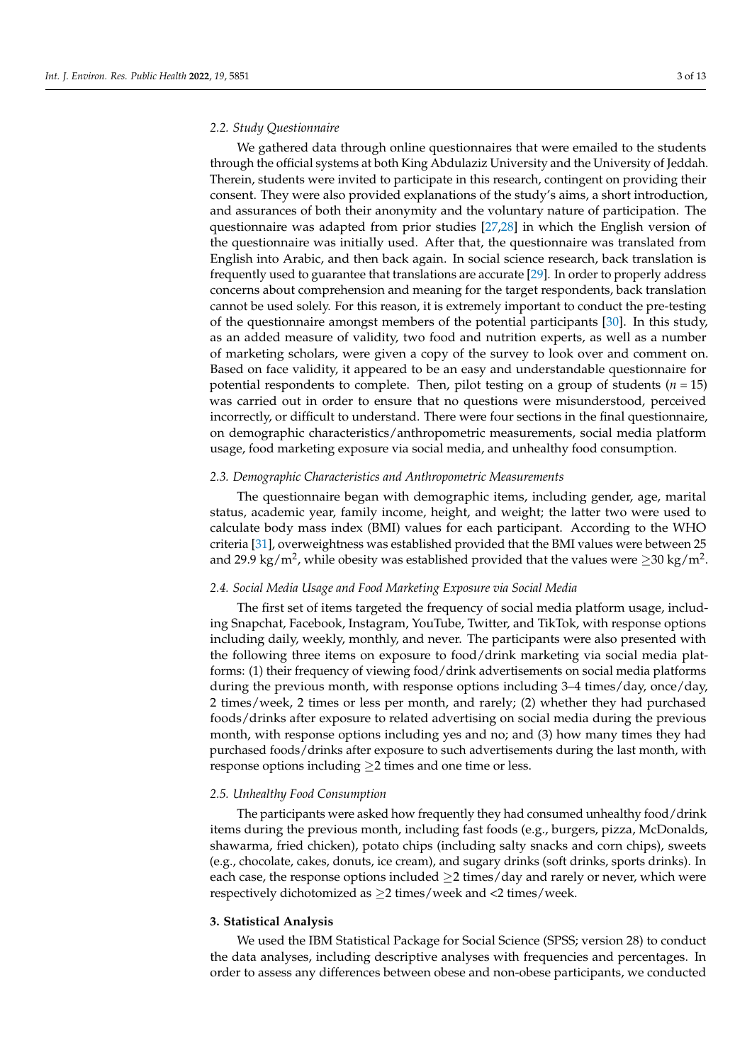#### *2.2. Study Questionnaire*

We gathered data through online questionnaires that were emailed to the students through the official systems at both King Abdulaziz University and the University of Jeddah. Therein, students were invited to participate in this research, contingent on providing their consent. They were also provided explanations of the study's aims, a short introduction, and assurances of both their anonymity and the voluntary nature of participation. The questionnaire was adapted from prior studies [\[27](#page-11-22)[,28\]](#page-11-23) in which the English version of the questionnaire was initially used. After that, the questionnaire was translated from English into Arabic, and then back again. In social science research, back translation is frequently used to guarantee that translations are accurate [\[29\]](#page-11-24). In order to properly address concerns about comprehension and meaning for the target respondents, back translation cannot be used solely. For this reason, it is extremely important to conduct the pre-testing of the questionnaire amongst members of the potential participants [\[30\]](#page-11-25). In this study, as an added measure of validity, two food and nutrition experts, as well as a number of marketing scholars, were given a copy of the survey to look over and comment on. Based on face validity, it appeared to be an easy and understandable questionnaire for potential respondents to complete. Then, pilot testing on a group of students  $(n = 15)$ was carried out in order to ensure that no questions were misunderstood, perceived incorrectly, or difficult to understand. There were four sections in the final questionnaire, on demographic characteristics/anthropometric measurements, social media platform usage, food marketing exposure via social media, and unhealthy food consumption.

# *2.3. Demographic Characteristics and Anthropometric Measurements*

The questionnaire began with demographic items, including gender, age, marital status, academic year, family income, height, and weight; the latter two were used to calculate body mass index (BMI) values for each participant. According to the WHO criteria [\[31\]](#page-12-0), overweightness was established provided that the BMI values were between 25 and 29.9 kg/m $^2$ , while obesity was established provided that the values were  ${\ge}30$  kg/m $^2$ .

# *2.4. Social Media Usage and Food Marketing Exposure via Social Media*

The first set of items targeted the frequency of social media platform usage, including Snapchat, Facebook, Instagram, YouTube, Twitter, and TikTok, with response options including daily, weekly, monthly, and never. The participants were also presented with the following three items on exposure to food/drink marketing via social media platforms: (1) their frequency of viewing food/drink advertisements on social media platforms during the previous month, with response options including 3–4 times/day, once/day, 2 times/week, 2 times or less per month, and rarely; (2) whether they had purchased foods/drinks after exposure to related advertising on social media during the previous month, with response options including yes and no; and (3) how many times they had purchased foods/drinks after exposure to such advertisements during the last month, with response options including ≥2 times and one time or less.

#### *2.5. Unhealthy Food Consumption*

The participants were asked how frequently they had consumed unhealthy food/drink items during the previous month, including fast foods (e.g., burgers, pizza, McDonalds, shawarma, fried chicken), potato chips (including salty snacks and corn chips), sweets (e.g., chocolate, cakes, donuts, ice cream), and sugary drinks (soft drinks, sports drinks). In each case, the response options included  $\geq$ 2 times/day and rarely or never, which were respectively dichotomized as  $\geq$  2 times/week and <2 times/week.

#### **3. Statistical Analysis**

We used the IBM Statistical Package for Social Science (SPSS; version 28) to conduct the data analyses, including descriptive analyses with frequencies and percentages. In order to assess any differences between obese and non-obese participants, we conducted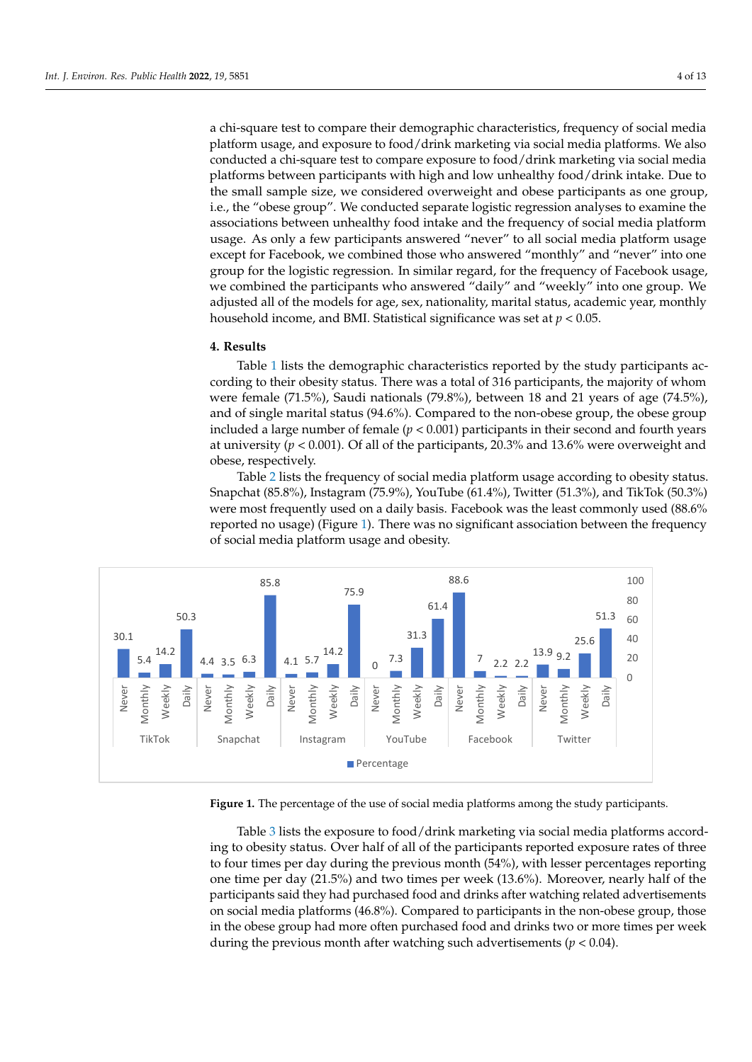a chi-square test to compare their demographic characteristics, frequency of social media platform usage, and exposure to food/drink marketing via social media platforms. We also conducted a chi-square test to compare exposure to food/drink marketing via social media platforms between participants with high and low unhealthy food/drink intake. Due to the small sample size, we considered overweight and obese participants as one group, i.e., the "obese group". We conducted separate logistic regression analyses to examine the associations between unhealthy food intake and the frequency of social media platform usage. As only a few participants answered "never" to all social media platform usage except for Facebook, we combined those who answered "monthly" and "never" into one group for the logistic regression. In similar regard, for the frequency of Facebook usage, we combined the participants who answered "daily" and "weekly" into one group. We adjusted all of the models for age, sex, nationality, marital status, academic year, monthly Monthly household household income, and BMI. Statistical significance was set at  $p < 0.05$ .

# **4. Results**

Table [1](#page-4-0) lists the demographic characteristics reported by the study participants according to their obesity status. There was a total of 316 participants, the majority of whom were female (71.5%), Saudi nationals (79.8%), between 18 and 21 years of age (74.5%), and of single marital status (94.6%). Compared to the non-obese group, the obese group included a large number of female ( $p < 0.001$ ) participants in their second and fourth years at university ( $p < 0.001$ ). Of all of the participants, 20.3% and 13.6% were overweight and obese, respectively. .<br>1. 4. Det allen Anne son als solares de malais de la propieta de la propieta de la propieta de la propieta de

<span id="page-3-0"></span>Table 2 lists the frequency of social media platform usage according to obesity status. Table [2](#page-5-0) lists the frequency of social media platform usage according to obesity status. Snapchat (85.8%), Instagram (75.9%), YouTube (61.4%), Twitter (51.3%), and TikTok (50.3%) Snapchat (85.8%), Instagram (75.9%), YouTube (61.4%), Twitter (51.3%), and TikTok were most frequently used on a daily basis. Facebook was the least commonly used (88.6%  $\,$ reported no usage) (Figure [1\)](#page-3-0). There was no significant association between the frequency of social media platform usage and obesity.



**Figure 1.** The percentage of the use of social media platforms among the study participants. **Figure 1.** The percentage of the use of social media platforms among the study participants.

Table 3 lists the exposure to food/drink marketing via social media platforms according to obesity status. Over half of all of the participants reported exposure rates of three one time per day (21.5%) and two times per week (13.6%). Moreover, nearly half of the Following participants said they had purchased food and drinks after watching related advertisements<br> **participants** said they had purchased food and drinks after watching related advertisements **Obesity** to four times per day during the previous month (54%), with lesser percentages reporting In the obese group had more often purchased food and drinks two or more times per week during the previous month after watching such advertisements ( $p < 0.04$ ). on social media platforms (46.8%). Compared to participants in the non-obese group, those

We have the state of the state of the state of the state of the state of the state of the state of the state of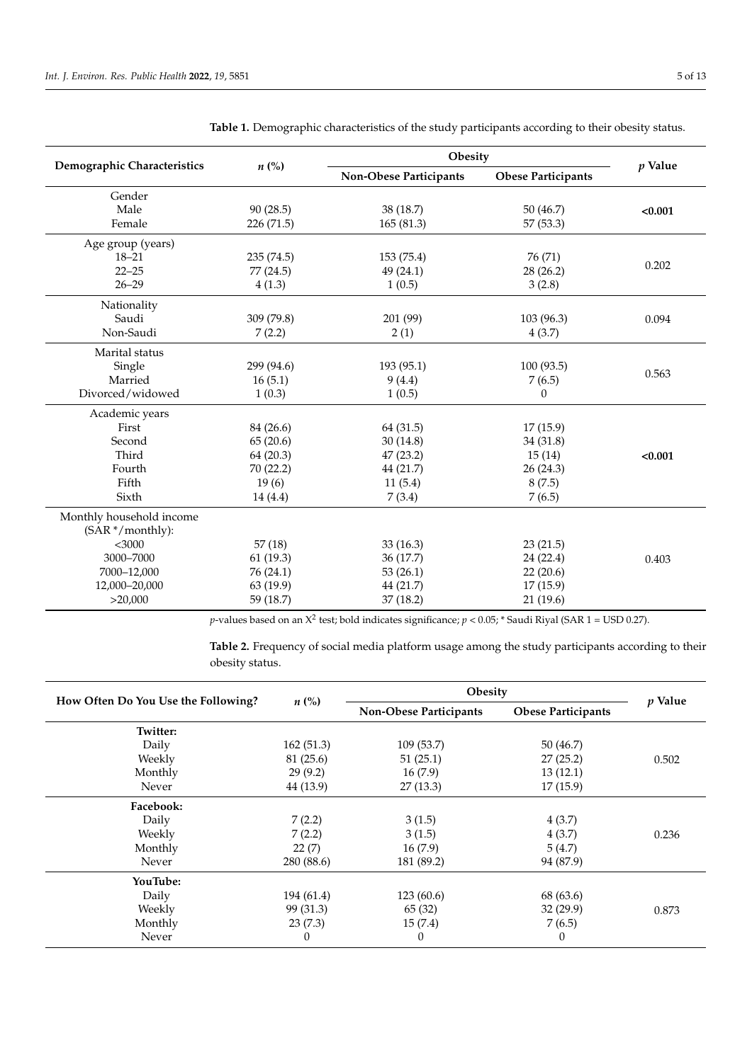|                             |                    |                        | Obesity                   |         |  |  |  |
|-----------------------------|--------------------|------------------------|---------------------------|---------|--|--|--|
| Demographic Characteristics | $n\left(\%\right)$ | Non-Obese Participants | <b>Obese Participants</b> | p Value |  |  |  |
| Gender                      |                    |                        |                           |         |  |  |  |
| Male                        | 90(28.5)           | 38 (18.7)              | 50 (46.7)                 | < 0.001 |  |  |  |
| Female                      | 226 (71.5)         | 165(81.3)              | 57 (53.3)                 |         |  |  |  |
| Age group (years)           |                    |                        |                           |         |  |  |  |
| $18 - 21$                   | 235 (74.5)         | 153 (75.4)             | 76 (71)                   |         |  |  |  |
| $22 - 25$                   | 77 (24.5)          | 49 (24.1)              | 28 (26.2)                 | 0.202   |  |  |  |
| $26 - 29$                   | 4(1.3)             | 1(0.5)                 | 3(2.8)                    |         |  |  |  |
| Nationality                 |                    |                        |                           |         |  |  |  |
| Saudi                       | 309 (79.8)         | 201 (99)               | 103 (96.3)                | 0.094   |  |  |  |
| Non-Saudi                   | 7(2.2)             | 2(1)                   | 4(3.7)                    |         |  |  |  |
| Marital status              |                    |                        |                           |         |  |  |  |
| Single                      | 299 (94.6)         | 193 (95.1)             | 100(93.5)                 |         |  |  |  |
| Married                     | 16(5.1)            | 9(4.4)                 | 7(6.5)                    | 0.563   |  |  |  |
| Divorced/widowed            | 1(0.3)             | 1(0.5)                 | 0                         |         |  |  |  |
| Academic years              |                    |                        |                           |         |  |  |  |
| First                       | 84 (26.6)          | 64 (31.5)              | 17(15.9)                  |         |  |  |  |
| Second                      | 65(20.6)           | 30(14.8)               | 34(31.8)                  |         |  |  |  |
| Third                       | 64(20.3)           | 47 (23.2)              | 15(14)                    | < 0.001 |  |  |  |
| Fourth                      | 70 (22.2)          | 44 (21.7)              | 26(24.3)                  |         |  |  |  |
| Fifth                       | 19(6)              | 11(5.4)                | 8(7.5)                    |         |  |  |  |
| Sixth                       | 14(4.4)            | 7(3.4)                 | 7(6.5)                    |         |  |  |  |
| Monthly household income    |                    |                        |                           |         |  |  |  |
| (SAR */monthly):            |                    |                        |                           |         |  |  |  |
| $<$ 3000                    | 57(18)             | 33(16.3)               | 23(21.5)                  |         |  |  |  |
| 3000-7000                   | 61(19.3)           | 36 (17.7)              | 24 (22.4)                 | 0.403   |  |  |  |
| 7000-12,000                 | 76 (24.1)          | 53(26.1)               | 22(20.6)                  |         |  |  |  |
| 12,000-20,000               | 63 (19.9)          | 44 (21.7)              | 17(15.9)                  |         |  |  |  |
| >20,000                     | 59 (18.7)          | 37(18.2)               | 21(19.6)                  |         |  |  |  |

<span id="page-4-0"></span>**Table 1.** Demographic characteristics of the study participants according to their obesity status.

*p*-values based on an  $X^2$  test; bold indicates significance;  $p < 0.05$ ; \* Saudi Riyal (SAR 1 = USD 0.27).

**Table 2.** Frequency of social media platform usage among the study participants according to their obesity status.

| How Often Do You Use the Following? | $n\left(\%\right)$            | Obesity    | <i>v</i> Value            |       |
|-------------------------------------|-------------------------------|------------|---------------------------|-------|
|                                     | <b>Non-Obese Participants</b> |            | <b>Obese Participants</b> |       |
| <b>Twitter:</b>                     |                               |            |                           |       |
| Daily                               | 162(51.3)                     | 109(53.7)  | 50(46.7)                  |       |
| Weekly                              | 81 (25.6)                     | 51(25.1)   | 27(25.2)                  | 0.502 |
| Monthly                             | 29(9.2)                       | 16(7.9)    | 13(12.1)                  |       |
| Never                               | 44 (13.9)                     | 27(13.3)   | 17(15.9)                  |       |
| Facebook:                           |                               |            |                           |       |
| Daily                               | 7(2.2)                        | 3(1.5)     | 4(3.7)                    |       |
| Weekly                              | 7(2.2)                        | 3(1.5)     | 4(3.7)                    | 0.236 |
| Monthly                             | 22(7)                         | 16(7.9)    | 5(4.7)                    |       |
| Never                               | 280 (88.6)                    | 181 (89.2) | 94 (87.9)                 |       |
| YouTube:                            |                               |            |                           |       |
| Daily                               | 194 (61.4)                    | 123(60.6)  | 68 (63.6)                 |       |
| Weekly                              | 99 (31.3)                     | 65(32)     | 32(29.9)                  | 0.873 |
| Monthly                             | 23(7.3)                       | 15(7.4)    | 7(6.5)                    |       |
| Never                               | $\theta$                      | $\theta$   | $\theta$                  |       |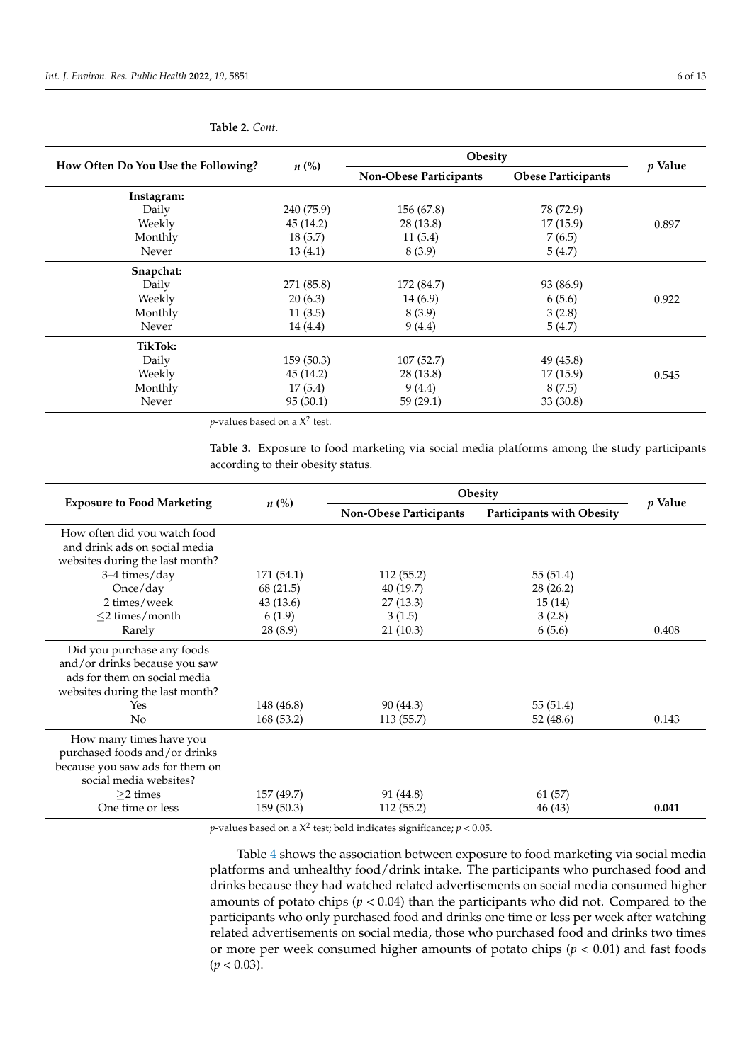| How Often Do You Use the Following? |                    | Obesity                | $p$ Value                 |       |
|-------------------------------------|--------------------|------------------------|---------------------------|-------|
|                                     | $n\left(\%\right)$ | Non-Obese Participants | <b>Obese Participants</b> |       |
| Instagram:                          |                    |                        |                           |       |
| Daily                               | 240 (75.9)         | 156 (67.8)             | 78 (72.9)                 |       |
| Weekly                              | 45(14.2)           | 28 (13.8)              | 17(15.9)                  | 0.897 |
| Monthly                             | 18(5.7)            | 11(5.4)                | 7(6.5)                    |       |
| Never                               | 13(4.1)            | 8(3.9)                 | 5(4.7)                    |       |
| Snapchat:                           |                    |                        |                           |       |
| Daily                               | 271 (85.8)         | 172 (84.7)             | 93 (86.9)                 |       |
| Weekly                              | 20(6.3)            | 14(6.9)                | 6(5.6)                    | 0.922 |
| Monthly                             | 11(3.5)            | 8(3.9)                 | 3(2.8)                    |       |
| Never                               | 14 (4.4)           | 9(4.4)                 | 5(4.7)                    |       |
| <b>TikTok:</b>                      |                    |                        |                           |       |
| Daily                               | 159(50.3)          | 107(52.7)              | 49(45.8)                  |       |
| Weekly                              | 45(14.2)           | 28 (13.8)              | 17(15.9)                  | 0.545 |
| Monthly                             | 17(5.4)            | 9(4.4)                 | 8(7.5)                    |       |
| Never                               | 95(30.1)           | 59(29.1)               | 33(30.8)                  |       |

#### <span id="page-5-0"></span>**Table 2.** *Cont.*

 $p$ -values based on a  $\mathsf{X}^2$  test.

<span id="page-5-1"></span>**Table 3.** Exposure to food marketing via social media platforms among the study participants according to their obesity status.

|                                   |                    | Obesity                | <i>p</i> Value                   |       |  |
|-----------------------------------|--------------------|------------------------|----------------------------------|-------|--|
| <b>Exposure to Food Marketing</b> | $n\left(\%\right)$ | Non-Obese Participants | <b>Participants with Obesity</b> |       |  |
| How often did you watch food      |                    |                        |                                  |       |  |
| and drink ads on social media     |                    |                        |                                  |       |  |
| websites during the last month?   |                    |                        |                                  |       |  |
| $3-4 \times /day$                 | 171 (54.1)         | 112(55.2)              | 55 (51.4)                        |       |  |
| Once/day                          | 68 (21.5)          | 40(19.7)               | 28(26.2)                         |       |  |
| 2 times/week                      | 43 (13.6)          | 27(13.3)               | 15(14)                           |       |  |
| $\leq$ 2 times/month              | 6(1.9)             | 3(1.5)                 | 3(2.8)                           |       |  |
| Rarely                            | 28 (8.9)           | 21(10.3)               | 6(5.6)                           | 0.408 |  |
| Did you purchase any foods        |                    |                        |                                  |       |  |
| and/or drinks because you saw     |                    |                        |                                  |       |  |
| ads for them on social media      |                    |                        |                                  |       |  |
| websites during the last month?   |                    |                        |                                  |       |  |
| Yes                               | 148 (46.8)         | 90 (44.3)              | 55 (51.4)                        |       |  |
| No                                | 168(53.2)          | 113(55.7)              | 52 (48.6)                        | 0.143 |  |
| How many times have you           |                    |                        |                                  |       |  |
| purchased foods and/or drinks     |                    |                        |                                  |       |  |
| because you saw ads for them on   |                    |                        |                                  |       |  |
| social media websites?            |                    |                        |                                  |       |  |
| $>2$ times                        | 157 (49.7)         | 91 (44.8)              | 61 (57)                          |       |  |
| One time or less                  | 159(50.3)          | 112(55.2)              | 46 (43)                          | 0.041 |  |

 $p$ -values based on a  $X^2$  test; bold indicates significance;  $p < 0.05$ .

Table [4](#page-6-0) shows the association between exposure to food marketing via social media platforms and unhealthy food/drink intake. The participants who purchased food and drinks because they had watched related advertisements on social media consumed higher amounts of potato chips ( $p < 0.04$ ) than the participants who did not. Compared to the participants who only purchased food and drinks one time or less per week after watching related advertisements on social media, those who purchased food and drinks two times or more per week consumed higher amounts of potato chips (*p* < 0.01) and fast foods  $(p < 0.03)$ .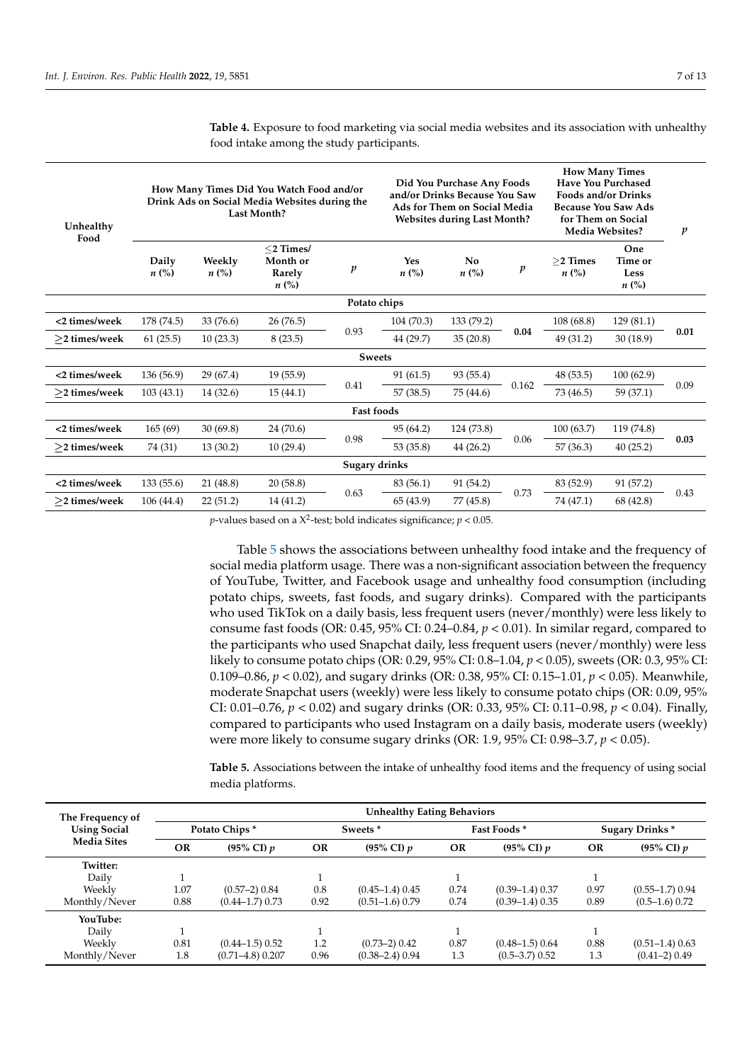| Unhealthy<br>Food   |                             | How Many Times Did You Watch Food and/or<br>Drink Ads on Social Media Websites during the<br><b>Last Month?</b> | Did You Purchase Any Foods<br>and/or Drinks Because You Saw<br>Ads for Them on Social Media<br><b>Websites during Last Month?</b> |                   |                  | <b>How Many Times</b><br><b>Have You Purchased</b><br><b>Foods and/or Drinks</b><br><b>Because You Saw Ads</b><br>for Them on Social<br>Media Websites? |                  | p                        |                                              |      |
|---------------------|-----------------------------|-----------------------------------------------------------------------------------------------------------------|-----------------------------------------------------------------------------------------------------------------------------------|-------------------|------------------|---------------------------------------------------------------------------------------------------------------------------------------------------------|------------------|--------------------------|----------------------------------------------|------|
|                     | Daily<br>$n\left(\%\right)$ | Weekly<br>$n\left(\%\right)$                                                                                    | $<$ 2 Times/<br>Month or<br>Rarely<br>$n\left(\%\right)$                                                                          | $\boldsymbol{p}$  | Yes<br>$n\ (\%)$ | N <sub>0</sub><br>$n\ (\%)$                                                                                                                             | $\boldsymbol{p}$ | $>$ 2 Times<br>$n\ (\%)$ | One<br>Time or<br>Less<br>$n\left(\%\right)$ |      |
| Potato chips        |                             |                                                                                                                 |                                                                                                                                   |                   |                  |                                                                                                                                                         |                  |                          |                                              |      |
| <2 times/week       | 178 (74.5)                  | 33 (76.6)                                                                                                       | 26(76.5)                                                                                                                          |                   | 104(70.3)        | 133 (79.2)                                                                                                                                              | 0.04             | 108 (68.8)               | 129(81.1)                                    | 0.01 |
| $\geq$ 2 times/week | 61(25.5)                    | 10(23.3)                                                                                                        | 8(23.5)                                                                                                                           | 0.93              | 44 (29.7)        | 35(20.8)                                                                                                                                                |                  | 49 (31.2)                | 30(18.9)                                     |      |
|                     |                             |                                                                                                                 |                                                                                                                                   | <b>Sweets</b>     |                  |                                                                                                                                                         |                  |                          |                                              |      |
| <2 times/week       | 136(56.9)                   | 29(67.4)                                                                                                        | 19(55.9)                                                                                                                          |                   | 91(61.5)         | 93 (55.4)                                                                                                                                               |                  | 48 (53.5)                | 100(62.9)                                    | 0.09 |
| $\geq$ 2 times/week | 103(43.1)                   | 14(32.6)                                                                                                        | 15(44.1)                                                                                                                          | 0.41              | 57(38.5)         | 75 (44.6)                                                                                                                                               | 0.162            | 73 (46.5)                | 59 (37.1)                                    |      |
|                     |                             |                                                                                                                 |                                                                                                                                   | <b>Fast foods</b> |                  |                                                                                                                                                         |                  |                          |                                              |      |
| <2 times/week       | 165(69)                     | 30(69.8)                                                                                                        | 24 (70.6)                                                                                                                         |                   | 95 (64.2)        | 124 (73.8)                                                                                                                                              |                  | 100(63.7)                | 119 (74.8)                                   | 0.03 |
| $>$ 2 times/week    | 74 (31)                     | 13(30.2)                                                                                                        | 10(29.4)                                                                                                                          | 0.98              | 53 (35.8)        | 44 (26.2)                                                                                                                                               | 0.06             | 57 (36.3)                | 40(25.2)                                     |      |
|                     |                             |                                                                                                                 |                                                                                                                                   | Sugary drinks     |                  |                                                                                                                                                         |                  |                          |                                              |      |
| <2 times/week       | 133(55.6)                   | 21(48.8)                                                                                                        | 20(58.8)                                                                                                                          |                   | 83 (56.1)        | 91 (54.2)                                                                                                                                               |                  | 83 (52.9)                | 91 (57.2)                                    |      |
| $>$ 2 times/week    | 106(44.4)                   | 22(51.2)                                                                                                        | 14 (41.2)                                                                                                                         | 0.63              | 65 (43.9)        | 77 (45.8)                                                                                                                                               | 0.73             | 74 (47.1)                | 68 (42.8)                                    | 0.43 |

<span id="page-6-0"></span>**Table 4.** Exposure to food marketing via social media websites and its association with unhealthy food intake among the study participants.

 $p$ -values based on a  $X^2$ -test; bold indicates significance;  $p < 0.05$ .

Table [5](#page-7-0) shows the associations between unhealthy food intake and the frequency of social media platform usage. There was a non-significant association between the frequency of YouTube, Twitter, and Facebook usage and unhealthy food consumption (including potato chips, sweets, fast foods, and sugary drinks). Compared with the participants who used TikTok on a daily basis, less frequent users (never/monthly) were less likely to consume fast foods (OR:  $0.45$ ,  $95\%$  CI:  $0.24-0.84$ ,  $p < 0.01$ ). In similar regard, compared to the participants who used Snapchat daily, less frequent users (never/monthly) were less likely to consume potato chips (OR: 0.29, 95% CI: 0.8–1.04, *p* < 0.05), sweets (OR: 0.3, 95% CI: 0.109–0.86, *p* < 0.02), and sugary drinks (OR: 0.38, 95% CI: 0.15–1.01, *p* < 0.05). Meanwhile, moderate Snapchat users (weekly) were less likely to consume potato chips (OR: 0.09, 95% CI: 0.01–0.76, *p* < 0.02) and sugary drinks (OR: 0.33, 95% CI: 0.11–0.98, *p* < 0.04). Finally, compared to participants who used Instagram on a daily basis, moderate users (weekly) were more likely to consume sugary drinks (OR: 1.9, 95% CI: 0.98–3.7, *p* < 0.05).

**Table 5.** Associations between the intake of unhealthy food items and the frequency of using social media platforms.

| The Frequency of<br><b>Using Social</b><br><b>Media Sites</b> | <b>Unhealthy Eating Behaviors</b> |                       |                     |                     |             |                       |                        |                   |  |
|---------------------------------------------------------------|-----------------------------------|-----------------------|---------------------|---------------------|-------------|-----------------------|------------------------|-------------------|--|
|                                                               | Potato Chips*                     |                       | Sweets <sup>*</sup> |                     | Fast Foods* |                       | <b>Sugary Drinks</b> * |                   |  |
|                                                               | <b>OR</b>                         | $(95\% \text{ CI}) p$ | <b>OR</b>           | (95% CI) $p$        | <b>OR</b>   | $(95\% \text{ CI}) p$ | <b>OR</b>              | (95% CI) $p$      |  |
| Twitter:                                                      |                                   |                       |                     |                     |             |                       |                        |                   |  |
| Daily                                                         |                                   |                       |                     |                     |             |                       |                        |                   |  |
| Weekly                                                        | 1.07                              | $(0.57-2)$ 0.84       | 0.8                 | $(0.45-1.4)$ 0.45   | 0.74        | $(0.39-1.4)$ 0.37     | 0.97                   | $(0.55-1.7)$ 0.94 |  |
| Monthly/Never                                                 | 0.88                              | $(0.44 - 1.7)$ 0.73   | 0.92                | $(0.51-1.6)$ 0.79   | 0.74        | $(0.39-1.4)$ 0.35     | 0.89                   | $(0.5-1.6)$ 0.72  |  |
| YouTube:                                                      |                                   |                       |                     |                     |             |                       |                        |                   |  |
| Daily                                                         |                                   |                       |                     |                     |             |                       |                        |                   |  |
| Weekly                                                        | 0.81                              | $(0.44 - 1.5)$ 0.52   | 1.2                 | $(0.73-2)$ 0.42     | 0.87        | $(0.48 - 1.5)$ 0.64   | 0.88                   | $(0.51-1.4)$ 0.63 |  |
| Monthly/Never                                                 | 1.8                               | $(0.71 - 4.8)$ 0.207  | 0.96                | $(0.38 - 2.4)$ 0.94 | 1.3         | $(0.5 - 3.7)$ 0.52    | 1.3                    | $(0.41-2)$ 0.49   |  |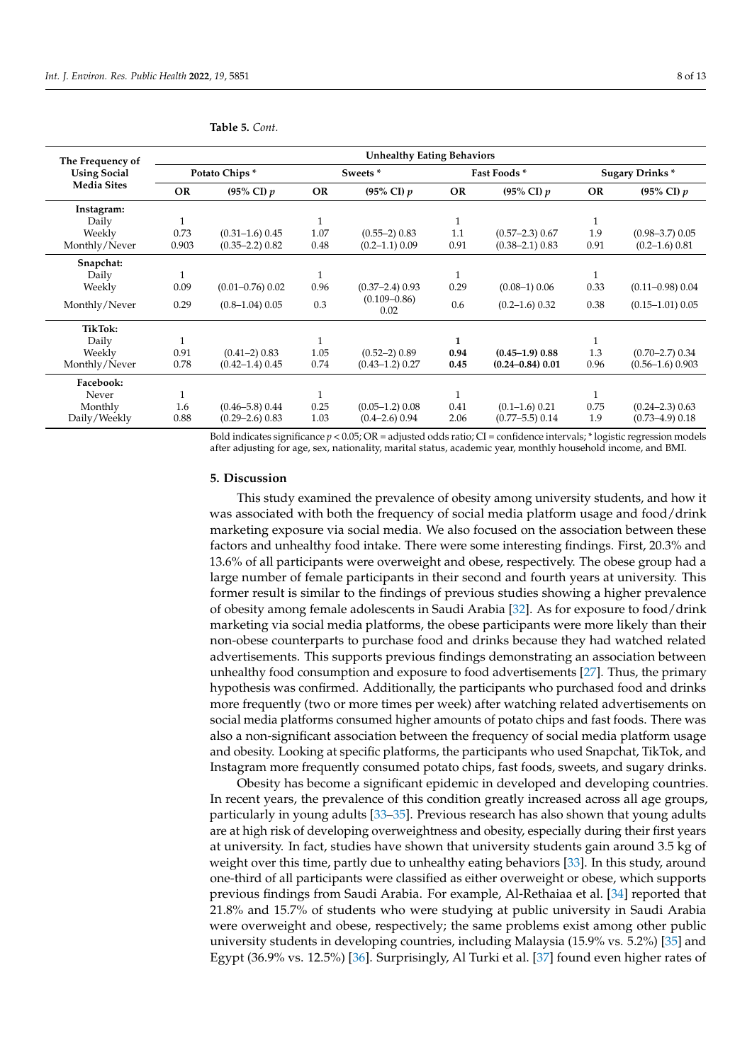|                                                               | <b>Unhealthy Eating Behaviors</b> |                      |           |                          |              |                      |           |                       |  |
|---------------------------------------------------------------|-----------------------------------|----------------------|-----------|--------------------------|--------------|----------------------|-----------|-----------------------|--|
| The Frequency of<br><b>Using Social</b><br><b>Media Sites</b> |                                   | Potato Chips*        |           | Sweets *                 |              | Fast Foods*          |           | <b>Sugary Drinks*</b> |  |
|                                                               | <b>OR</b>                         | (95% CI) $p$         | <b>OR</b> | (95% CI) $p$             | <b>OR</b>    | (95% CI) $p$         | <b>OR</b> | (95% CI) $p$          |  |
| Instagram:                                                    |                                   |                      |           |                          |              |                      |           |                       |  |
| Daily                                                         |                                   |                      |           |                          | 1            |                      |           |                       |  |
| Weekly                                                        | 0.73                              | $(0.31 - 1.6) 0.45$  | 1.07      | $(0.55-2)$ 0.83          | 1.1          | $(0.57 - 2.3)$ 0.67  | 1.9       | $(0.98 - 3.7)$ 0.05   |  |
| Monthly/Never                                                 | 0.903                             | $(0.35 - 2.2)$ 0.82  | 0.48      | $(0.2 - 1.1)$ 0.09       | 0.91         | $(0.38 - 2.1)$ 0.83  | 0.91      | $(0.2 - 1.6) 0.81$    |  |
| Snapchat:                                                     |                                   |                      |           |                          |              |                      |           |                       |  |
| Daily                                                         |                                   |                      |           |                          | $\mathbf{1}$ |                      | 1         |                       |  |
| Weekly                                                        | 0.09                              | $(0.01 - 0.76)$ 0.02 | 0.96      | $(0.37 - 2.4)$ 0.93      | 0.29         | $(0.08-1)$ 0.06      | 0.33      | $(0.11 - 0.98) 0.04$  |  |
| Monthly/Never                                                 | 0.29                              | $(0.8 - 1.04)$ 0.05  | 0.3       | $(0.109 - 0.86)$<br>0.02 | 0.6          | $(0.2 - 1.6)$ 0.32   | 0.38      | $(0.15 - 1.01)$ 0.05  |  |
| TikTok:                                                       |                                   |                      |           |                          |              |                      |           |                       |  |
| Daily                                                         |                                   |                      |           |                          | 1            |                      |           |                       |  |
| Weekly                                                        | 0.91                              | $(0.41-2)$ 0.83      | 1.05      | $(0.52-2)$ 0.89          | 0.94         | $(0.45 - 1.9)$ 0.88  | 1.3       | $(0.70 - 2.7)$ 0.34   |  |
| Monthly/Never                                                 | 0.78                              | $(0.42 - 1.4)$ 0.45  | 0.74      | $(0.43 - 1.2)$ 0.27      | 0.45         | $(0.24 - 0.84)$ 0.01 | 0.96      | $(0.56 - 1.6) 0.903$  |  |
| Facebook:                                                     |                                   |                      |           |                          |              |                      |           |                       |  |
| Never                                                         |                                   |                      | 1         |                          |              |                      |           |                       |  |
| Monthly                                                       | 1.6                               | $(0.46 - 5.8)$ 0.44  | 0.25      | $(0.05-1.2)$ 0.08        | 0.41         | $(0.1 - 1.6) 0.21$   | 0.75      | $(0.24 - 2.3)$ 0.63   |  |
| Daily/Weekly                                                  | 0.88                              | $(0.29 - 2.6)$ 0.83  | 1.03      | $(0.4 - 2.6)$ 0.94       | 2.06         | $(0.77 - 5.5)$ 0.14  | 1.9       | $(0.73 - 4.9)$ 0.18   |  |

<span id="page-7-0"></span>**Table 5.** *Cont.*

Bold indicates significance *p* < 0.05; OR = adjusted odds ratio; CI = confidence intervals; \* logistic regression models after adjusting for age, sex, nationality, marital status, academic year, monthly household income, and BMI.

#### **5. Discussion**

This study examined the prevalence of obesity among university students, and how it was associated with both the frequency of social media platform usage and food/drink marketing exposure via social media. We also focused on the association between these factors and unhealthy food intake. There were some interesting findings. First, 20.3% and 13.6% of all participants were overweight and obese, respectively. The obese group had a large number of female participants in their second and fourth years at university. This former result is similar to the findings of previous studies showing a higher prevalence of obesity among female adolescents in Saudi Arabia [\[32\]](#page-12-1). As for exposure to food/drink marketing via social media platforms, the obese participants were more likely than their non-obese counterparts to purchase food and drinks because they had watched related advertisements. This supports previous findings demonstrating an association between unhealthy food consumption and exposure to food advertisements [\[27\]](#page-11-22). Thus, the primary hypothesis was confirmed. Additionally, the participants who purchased food and drinks more frequently (two or more times per week) after watching related advertisements on social media platforms consumed higher amounts of potato chips and fast foods. There was also a non-significant association between the frequency of social media platform usage and obesity. Looking at specific platforms, the participants who used Snapchat, TikTok, and Instagram more frequently consumed potato chips, fast foods, sweets, and sugary drinks.

Obesity has become a significant epidemic in developed and developing countries. In recent years, the prevalence of this condition greatly increased across all age groups, particularly in young adults [\[33](#page-12-2)[–35\]](#page-12-3). Previous research has also shown that young adults are at high risk of developing overweightness and obesity, especially during their first years at university. In fact, studies have shown that university students gain around 3.5 kg of weight over this time, partly due to unhealthy eating behaviors [\[33\]](#page-12-2). In this study, around one-third of all participants were classified as either overweight or obese, which supports previous findings from Saudi Arabia. For example, Al-Rethaiaa et al. [\[34\]](#page-12-4) reported that 21.8% and 15.7% of students who were studying at public university in Saudi Arabia were overweight and obese, respectively; the same problems exist among other public university students in developing countries, including Malaysia (15.9% vs. 5.2%) [\[35\]](#page-12-3) and Egypt (36.9% vs. 12.5%) [\[36\]](#page-12-5). Surprisingly, Al Turki et al. [\[37\]](#page-12-6) found even higher rates of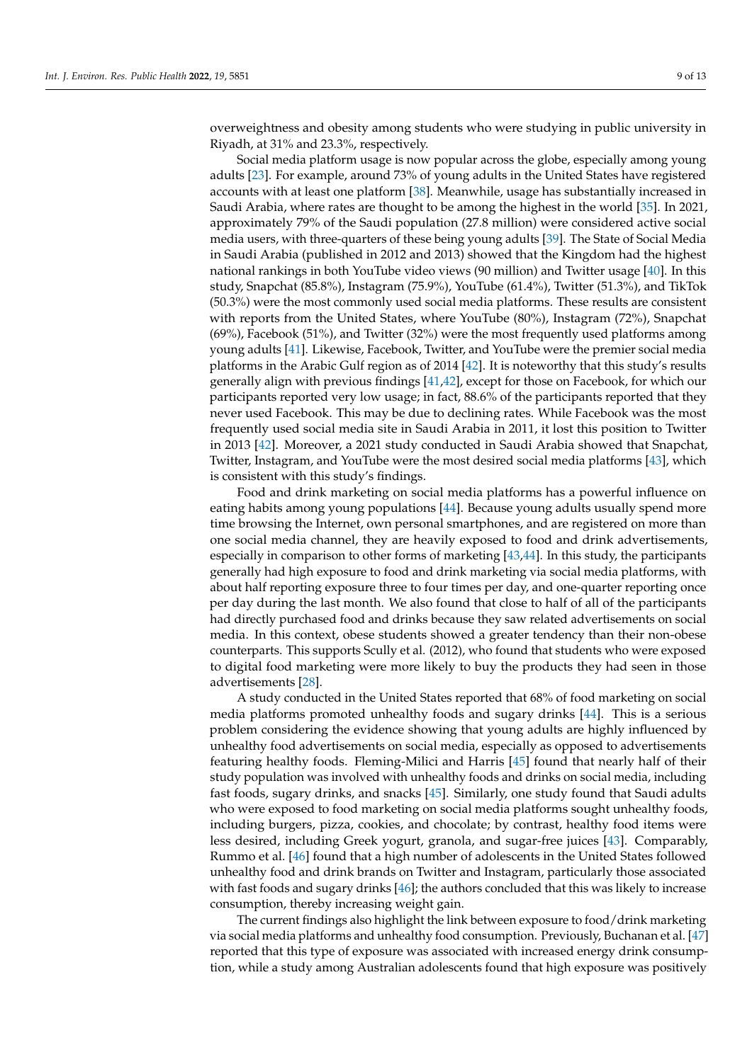overweightness and obesity among students who were studying in public university in Riyadh, at 31% and 23.3%, respectively.

Social media platform usage is now popular across the globe, especially among young adults [\[23\]](#page-11-18). For example, around 73% of young adults in the United States have registered accounts with at least one platform [\[38\]](#page-12-7). Meanwhile, usage has substantially increased in Saudi Arabia, where rates are thought to be among the highest in the world [\[35\]](#page-12-3). In 2021, approximately 79% of the Saudi population (27.8 million) were considered active social media users, with three-quarters of these being young adults [\[39\]](#page-12-8). The State of Social Media in Saudi Arabia (published in 2012 and 2013) showed that the Kingdom had the highest national rankings in both YouTube video views (90 million) and Twitter usage [\[40\]](#page-12-9). In this study, Snapchat (85.8%), Instagram (75.9%), YouTube (61.4%), Twitter (51.3%), and TikTok (50.3%) were the most commonly used social media platforms. These results are consistent with reports from the United States, where YouTube (80%), Instagram (72%), Snapchat (69%), Facebook (51%), and Twitter (32%) were the most frequently used platforms among young adults [\[41\]](#page-12-10). Likewise, Facebook, Twitter, and YouTube were the premier social media platforms in the Arabic Gulf region as of 2014 [\[42\]](#page-12-11). It is noteworthy that this study's results generally align with previous findings [\[41,](#page-12-10)[42\]](#page-12-11), except for those on Facebook, for which our participants reported very low usage; in fact, 88.6% of the participants reported that they never used Facebook. This may be due to declining rates. While Facebook was the most frequently used social media site in Saudi Arabia in 2011, it lost this position to Twitter in 2013 [\[42\]](#page-12-11). Moreover, a 2021 study conducted in Saudi Arabia showed that Snapchat, Twitter, Instagram, and YouTube were the most desired social media platforms [\[43\]](#page-12-12), which is consistent with this study's findings.

Food and drink marketing on social media platforms has a powerful influence on eating habits among young populations [\[44\]](#page-12-13). Because young adults usually spend more time browsing the Internet, own personal smartphones, and are registered on more than one social media channel, they are heavily exposed to food and drink advertisements, especially in comparison to other forms of marketing [\[43](#page-12-12)[,44\]](#page-12-13). In this study, the participants generally had high exposure to food and drink marketing via social media platforms, with about half reporting exposure three to four times per day, and one-quarter reporting once per day during the last month. We also found that close to half of all of the participants had directly purchased food and drinks because they saw related advertisements on social media. In this context, obese students showed a greater tendency than their non-obese counterparts. This supports Scully et al. (2012), who found that students who were exposed to digital food marketing were more likely to buy the products they had seen in those advertisements [\[28\]](#page-11-23).

A study conducted in the United States reported that 68% of food marketing on social media platforms promoted unhealthy foods and sugary drinks [\[44\]](#page-12-13). This is a serious problem considering the evidence showing that young adults are highly influenced by unhealthy food advertisements on social media, especially as opposed to advertisements featuring healthy foods. Fleming-Milici and Harris [\[45\]](#page-12-14) found that nearly half of their study population was involved with unhealthy foods and drinks on social media, including fast foods, sugary drinks, and snacks [\[45\]](#page-12-14). Similarly, one study found that Saudi adults who were exposed to food marketing on social media platforms sought unhealthy foods, including burgers, pizza, cookies, and chocolate; by contrast, healthy food items were less desired, including Greek yogurt, granola, and sugar-free juices [\[43\]](#page-12-12). Comparably, Rummo et al. [\[46\]](#page-12-15) found that a high number of adolescents in the United States followed unhealthy food and drink brands on Twitter and Instagram, particularly those associated with fast foods and sugary drinks [\[46\]](#page-12-15); the authors concluded that this was likely to increase consumption, thereby increasing weight gain.

The current findings also highlight the link between exposure to food/drink marketing via social media platforms and unhealthy food consumption. Previously, Buchanan et al. [\[47\]](#page-12-16) reported that this type of exposure was associated with increased energy drink consumption, while a study among Australian adolescents found that high exposure was positively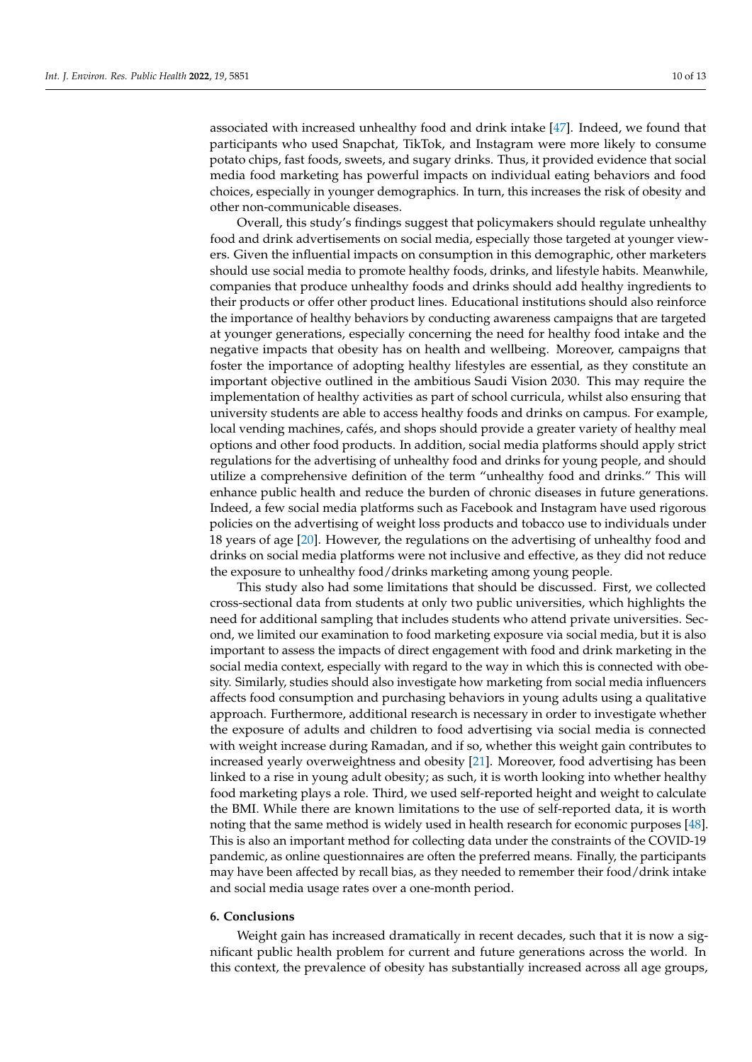associated with increased unhealthy food and drink intake [\[47\]](#page-12-16). Indeed, we found that participants who used Snapchat, TikTok, and Instagram were more likely to consume potato chips, fast foods, sweets, and sugary drinks. Thus, it provided evidence that social media food marketing has powerful impacts on individual eating behaviors and food choices, especially in younger demographics. In turn, this increases the risk of obesity and other non-communicable diseases.

Overall, this study's findings suggest that policymakers should regulate unhealthy food and drink advertisements on social media, especially those targeted at younger viewers. Given the influential impacts on consumption in this demographic, other marketers should use social media to promote healthy foods, drinks, and lifestyle habits. Meanwhile, companies that produce unhealthy foods and drinks should add healthy ingredients to their products or offer other product lines. Educational institutions should also reinforce the importance of healthy behaviors by conducting awareness campaigns that are targeted at younger generations, especially concerning the need for healthy food intake and the negative impacts that obesity has on health and wellbeing. Moreover, campaigns that foster the importance of adopting healthy lifestyles are essential, as they constitute an important objective outlined in the ambitious Saudi Vision 2030. This may require the implementation of healthy activities as part of school curricula, whilst also ensuring that university students are able to access healthy foods and drinks on campus. For example, local vending machines, cafés, and shops should provide a greater variety of healthy meal options and other food products. In addition, social media platforms should apply strict regulations for the advertising of unhealthy food and drinks for young people, and should utilize a comprehensive definition of the term "unhealthy food and drinks." This will enhance public health and reduce the burden of chronic diseases in future generations. Indeed, a few social media platforms such as Facebook and Instagram have used rigorous policies on the advertising of weight loss products and tobacco use to individuals under 18 years of age [\[20\]](#page-11-15). However, the regulations on the advertising of unhealthy food and drinks on social media platforms were not inclusive and effective, as they did not reduce the exposure to unhealthy food/drinks marketing among young people.

This study also had some limitations that should be discussed. First, we collected cross-sectional data from students at only two public universities, which highlights the need for additional sampling that includes students who attend private universities. Second, we limited our examination to food marketing exposure via social media, but it is also important to assess the impacts of direct engagement with food and drink marketing in the social media context, especially with regard to the way in which this is connected with obesity. Similarly, studies should also investigate how marketing from social media influencers affects food consumption and purchasing behaviors in young adults using a qualitative approach. Furthermore, additional research is necessary in order to investigate whether the exposure of adults and children to food advertising via social media is connected with weight increase during Ramadan, and if so, whether this weight gain contributes to increased yearly overweightness and obesity [\[21\]](#page-11-16). Moreover, food advertising has been linked to a rise in young adult obesity; as such, it is worth looking into whether healthy food marketing plays a role. Third, we used self-reported height and weight to calculate the BMI. While there are known limitations to the use of self-reported data, it is worth noting that the same method is widely used in health research for economic purposes [\[48\]](#page-12-17). This is also an important method for collecting data under the constraints of the COVID-19 pandemic, as online questionnaires are often the preferred means. Finally, the participants may have been affected by recall bias, as they needed to remember their food/drink intake and social media usage rates over a one-month period.

# **6. Conclusions**

Weight gain has increased dramatically in recent decades, such that it is now a significant public health problem for current and future generations across the world. In this context, the prevalence of obesity has substantially increased across all age groups,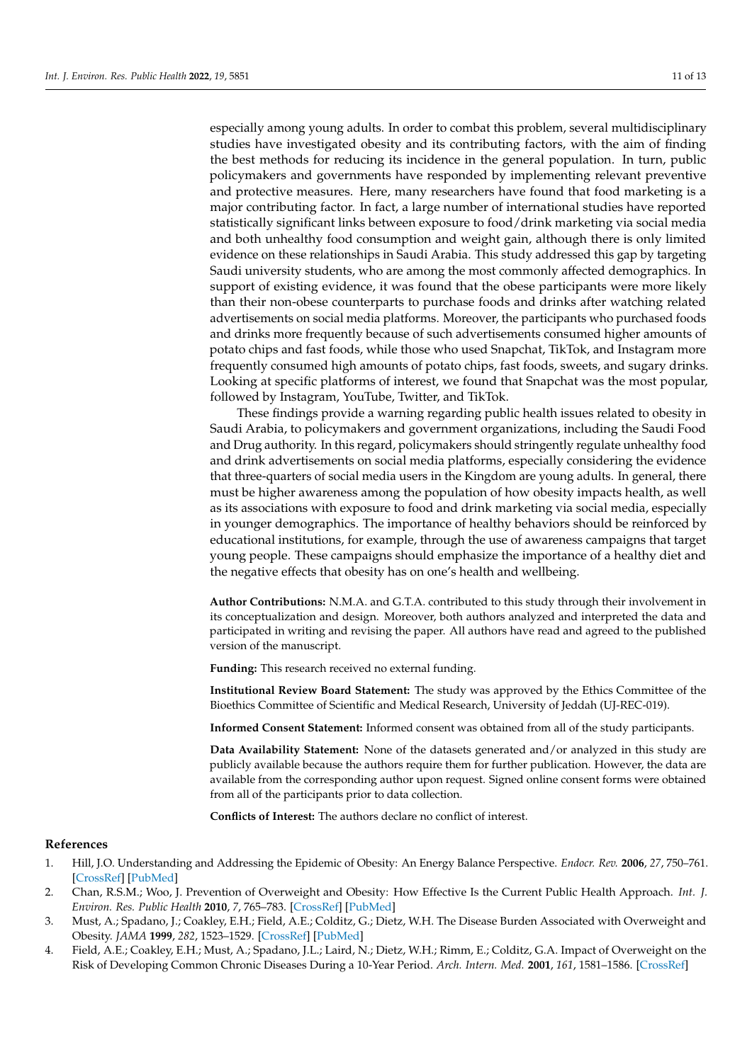especially among young adults. In order to combat this problem, several multidisciplinary studies have investigated obesity and its contributing factors, with the aim of finding the best methods for reducing its incidence in the general population. In turn, public policymakers and governments have responded by implementing relevant preventive and protective measures. Here, many researchers have found that food marketing is a major contributing factor. In fact, a large number of international studies have reported statistically significant links between exposure to food/drink marketing via social media and both unhealthy food consumption and weight gain, although there is only limited evidence on these relationships in Saudi Arabia. This study addressed this gap by targeting Saudi university students, who are among the most commonly affected demographics. In support of existing evidence, it was found that the obese participants were more likely than their non-obese counterparts to purchase foods and drinks after watching related advertisements on social media platforms. Moreover, the participants who purchased foods and drinks more frequently because of such advertisements consumed higher amounts of potato chips and fast foods, while those who used Snapchat, TikTok, and Instagram more frequently consumed high amounts of potato chips, fast foods, sweets, and sugary drinks. Looking at specific platforms of interest, we found that Snapchat was the most popular, followed by Instagram, YouTube, Twitter, and TikTok.

These findings provide a warning regarding public health issues related to obesity in Saudi Arabia, to policymakers and government organizations, including the Saudi Food and Drug authority. In this regard, policymakers should stringently regulate unhealthy food and drink advertisements on social media platforms, especially considering the evidence that three-quarters of social media users in the Kingdom are young adults. In general, there must be higher awareness among the population of how obesity impacts health, as well as its associations with exposure to food and drink marketing via social media, especially in younger demographics. The importance of healthy behaviors should be reinforced by educational institutions, for example, through the use of awareness campaigns that target young people. These campaigns should emphasize the importance of a healthy diet and the negative effects that obesity has on one's health and wellbeing.

**Author Contributions:** N.M.A. and G.T.A. contributed to this study through their involvement in its conceptualization and design. Moreover, both authors analyzed and interpreted the data and participated in writing and revising the paper. All authors have read and agreed to the published version of the manuscript.

**Funding:** This research received no external funding.

**Institutional Review Board Statement:** The study was approved by the Ethics Committee of the Bioethics Committee of Scientific and Medical Research, University of Jeddah (UJ-REC-019).

**Informed Consent Statement:** Informed consent was obtained from all of the study participants.

**Data Availability Statement:** None of the datasets generated and/or analyzed in this study are publicly available because the authors require them for further publication. However, the data are available from the corresponding author upon request. Signed online consent forms were obtained from all of the participants prior to data collection.

**Conflicts of Interest:** The authors declare no conflict of interest.

# **References**

- <span id="page-10-0"></span>1. Hill, J.O. Understanding and Addressing the Epidemic of Obesity: An Energy Balance Perspective. *Endocr. Rev.* **2006**, *27*, 750–761. [\[CrossRef\]](http://doi.org/10.1210/er.2006-0032) [\[PubMed\]](http://www.ncbi.nlm.nih.gov/pubmed/17122359)
- <span id="page-10-1"></span>2. Chan, R.S.M.; Woo, J. Prevention of Overweight and Obesity: How Effective Is the Current Public Health Approach. *Int. J. Environ. Res. Public Health* **2010**, *7*, 765–783. [\[CrossRef\]](http://doi.org/10.3390/ijerph7030765) [\[PubMed\]](http://www.ncbi.nlm.nih.gov/pubmed/20617002)
- <span id="page-10-2"></span>3. Must, A.; Spadano, J.; Coakley, E.H.; Field, A.E.; Colditz, G.; Dietz, W.H. The Disease Burden Associated with Overweight and Obesity. *JAMA* **1999**, *282*, 1523–1529. [\[CrossRef\]](http://doi.org/10.1001/jama.282.16.1523) [\[PubMed\]](http://www.ncbi.nlm.nih.gov/pubmed/10546691)
- 4. Field, A.E.; Coakley, E.H.; Must, A.; Spadano, J.L.; Laird, N.; Dietz, W.H.; Rimm, E.; Colditz, G.A. Impact of Overweight on the Risk of Developing Common Chronic Diseases During a 10-Year Period. *Arch. Intern. Med.* **2001**, *161*, 1581–1586. [\[CrossRef\]](http://doi.org/10.1001/archinte.161.13.1581)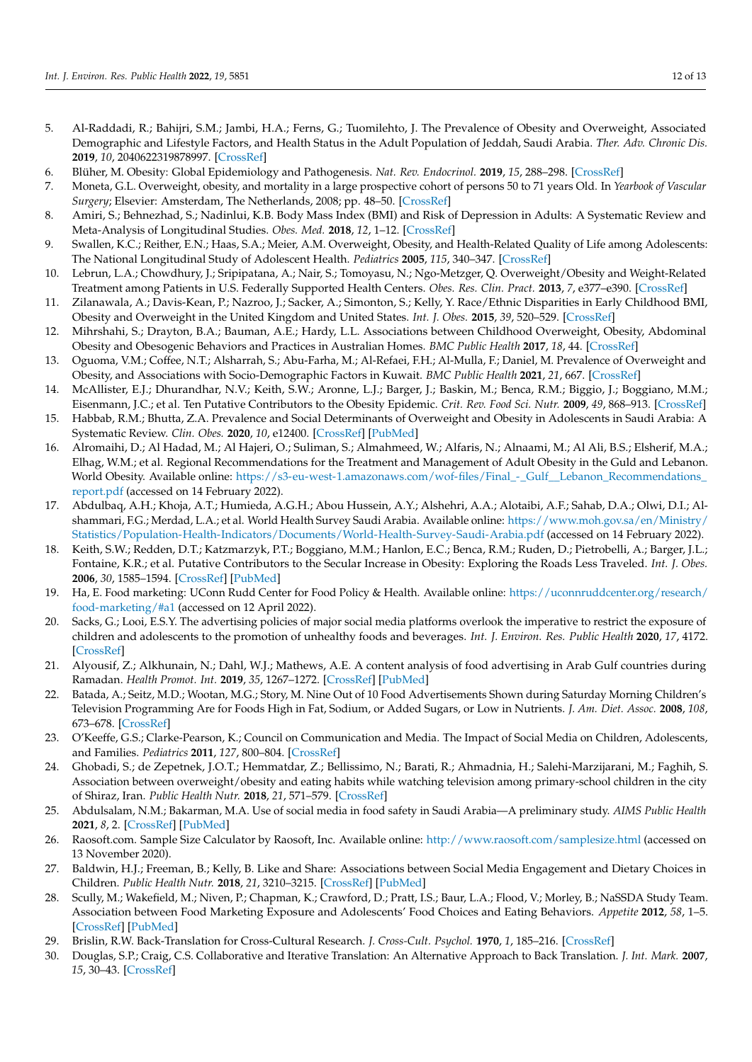- <span id="page-11-0"></span>5. Al-Raddadi, R.; Bahijri, S.M.; Jambi, H.A.; Ferns, G.; Tuomilehto, J. The Prevalence of Obesity and Overweight, Associated Demographic and Lifestyle Factors, and Health Status in the Adult Population of Jeddah, Saudi Arabia. *Ther. Adv. Chronic Dis.* **2019**, *10*, 2040622319878997. [\[CrossRef\]](http://doi.org/10.1177/2040622319878997)
- <span id="page-11-1"></span>6. Blüher, M. Obesity: Global Epidemiology and Pathogenesis. *Nat. Rev. Endocrinol.* **2019**, *15*, 288–298. [\[CrossRef\]](http://doi.org/10.1038/s41574-019-0176-8)
- <span id="page-11-2"></span>7. Moneta, G.L. Overweight, obesity, and mortality in a large prospective cohort of persons 50 to 71 years Old. In *Yearbook of Vascular Surgery*; Elsevier: Amsterdam, The Netherlands, 2008; pp. 48–50. [\[CrossRef\]](http://doi.org/10.1016/S0749-4041(08)70681-X)
- <span id="page-11-3"></span>8. Amiri, S.; Behnezhad, S.; Nadinlui, K.B. Body Mass Index (BMI) and Risk of Depression in Adults: A Systematic Review and Meta-Analysis of Longitudinal Studies. *Obes. Med.* **2018**, *12*, 1–12. [\[CrossRef\]](http://doi.org/10.1016/j.obmed.2018.10.001)
- <span id="page-11-4"></span>9. Swallen, K.C.; Reither, E.N.; Haas, S.A.; Meier, A.M. Overweight, Obesity, and Health-Related Quality of Life among Adolescents: The National Longitudinal Study of Adolescent Health. *Pediatrics* **2005**, *115*, 340–347. [\[CrossRef\]](http://doi.org/10.1542/peds.2004-0678)
- <span id="page-11-5"></span>10. Lebrun, L.A.; Chowdhury, J.; Sripipatana, A.; Nair, S.; Tomoyasu, N.; Ngo-Metzger, Q. Overweight/Obesity and Weight-Related Treatment among Patients in U.S. Federally Supported Health Centers. *Obes. Res. Clin. Pract.* **2013**, *7*, e377–e390. [\[CrossRef\]](http://doi.org/10.1016/j.orcp.2012.04.001)
- <span id="page-11-6"></span>11. Zilanawala, A.; Davis-Kean, P.; Nazroo, J.; Sacker, A.; Simonton, S.; Kelly, Y. Race/Ethnic Disparities in Early Childhood BMI, Obesity and Overweight in the United Kingdom and United States. *Int. J. Obes.* **2015**, *39*, 520–529. [\[CrossRef\]](http://doi.org/10.1038/ijo.2014.171)
- <span id="page-11-7"></span>12. Mihrshahi, S.; Drayton, B.A.; Bauman, A.E.; Hardy, L.L. Associations between Childhood Overweight, Obesity, Abdominal Obesity and Obesogenic Behaviors and Practices in Australian Homes. *BMC Public Health* **2017**, *18*, 44. [\[CrossRef\]](http://doi.org/10.1186/s12889-017-4595-y)
- <span id="page-11-8"></span>13. Oguoma, V.M.; Coffee, N.T.; Alsharrah, S.; Abu-Farha, M.; Al-Refaei, F.H.; Al-Mulla, F.; Daniel, M. Prevalence of Overweight and Obesity, and Associations with Socio-Demographic Factors in Kuwait. *BMC Public Health* **2021**, *21*, 667. [\[CrossRef\]](http://doi.org/10.1186/s12889-021-10692-1)
- <span id="page-11-9"></span>14. McAllister, E.J.; Dhurandhar, N.V.; Keith, S.W.; Aronne, L.J.; Barger, J.; Baskin, M.; Benca, R.M.; Biggio, J.; Boggiano, M.M.; Eisenmann, J.C.; et al. Ten Putative Contributors to the Obesity Epidemic. *Crit. Rev. Food Sci. Nutr.* **2009**, *49*, 868–913. [\[CrossRef\]](http://doi.org/10.1080/10408390903372599)
- <span id="page-11-10"></span>15. Habbab, R.M.; Bhutta, Z.A. Prevalence and Social Determinants of Overweight and Obesity in Adolescents in Saudi Arabia: A Systematic Review. *Clin. Obes.* **2020**, *10*, e12400. [\[CrossRef\]](http://doi.org/10.1111/cob.12400) [\[PubMed\]](http://www.ncbi.nlm.nih.gov/pubmed/32827192)
- <span id="page-11-11"></span>16. Alromaihi, D.; Al Hadad, M.; Al Hajeri, O.; Suliman, S.; Almahmeed, W.; Alfaris, N.; Alnaami, M.; Al Ali, B.S.; Elsherif, M.A.; Elhag, W.M.; et al. Regional Recommendations for the Treatment and Management of Adult Obesity in the Guld and Lebanon. World Obesity. Available online: [https://s3-eu-west-1.amazonaws.com/wof-files/Final\\_-\\_Gulf\\_\\_Lebanon\\_Recommendations\\_](https://s3-eu-west-1.amazonaws.com/wof-files/Final_-_Gulf__Lebanon_Recommendations_report.pdf) [report.pdf](https://s3-eu-west-1.amazonaws.com/wof-files/Final_-_Gulf__Lebanon_Recommendations_report.pdf) (accessed on 14 February 2022).
- <span id="page-11-12"></span>17. Abdulbaq, A.H.; Khoja, A.T.; Humieda, A.G.H.; Abou Hussein, A.Y.; Alshehri, A.A.; Alotaibi, A.F.; Sahab, D.A.; Olwi, D.I.; Alshammari, F.G.; Merdad, L.A.; et al. World Health Survey Saudi Arabia. Available online: [https://www.moh.gov.sa/en/Ministry/](https://www.moh.gov.sa/en/Ministry/Statistics/Population-Health-Indicators/Documents/World-Health-Survey-Saudi-Arabia.pdf) [Statistics/Population-Health-Indicators/Documents/World-Health-Survey-Saudi-Arabia.pdf](https://www.moh.gov.sa/en/Ministry/Statistics/Population-Health-Indicators/Documents/World-Health-Survey-Saudi-Arabia.pdf) (accessed on 14 February 2022).
- <span id="page-11-13"></span>18. Keith, S.W.; Redden, D.T.; Katzmarzyk, P.T.; Boggiano, M.M.; Hanlon, E.C.; Benca, R.M.; Ruden, D.; Pietrobelli, A.; Barger, J.L.; Fontaine, K.R.; et al. Putative Contributors to the Secular Increase in Obesity: Exploring the Roads Less Traveled. *Int. J. Obes.* **2006**, *30*, 1585–1594. [\[CrossRef\]](http://doi.org/10.1038/sj.ijo.0803326) [\[PubMed\]](http://www.ncbi.nlm.nih.gov/pubmed/16801930)
- <span id="page-11-14"></span>19. Ha, E. Food marketing: UConn Rudd Center for Food Policy & Health. Available online: [https://uconnruddcenter.org/research/](https://uconnruddcenter.org/research/food-marketing/#a1) [food-marketing/#a1](https://uconnruddcenter.org/research/food-marketing/#a1) (accessed on 12 April 2022).
- <span id="page-11-15"></span>20. Sacks, G.; Looi, E.S.Y. The advertising policies of major social media platforms overlook the imperative to restrict the exposure of children and adolescents to the promotion of unhealthy foods and beverages. *Int. J. Environ. Res. Public Health* **2020**, *17*, 4172. [\[CrossRef\]](http://doi.org/10.3390/ijerph17114172)
- <span id="page-11-16"></span>21. Alyousif, Z.; Alkhunain, N.; Dahl, W.J.; Mathews, A.E. A content analysis of food advertising in Arab Gulf countries during Ramadan. *Health Promot. Int.* **2019**, *35*, 1267–1272. [\[CrossRef\]](http://doi.org/10.1093/heapro/daz116) [\[PubMed\]](http://www.ncbi.nlm.nih.gov/pubmed/31821486)
- <span id="page-11-17"></span>22. Batada, A.; Seitz, M.D.; Wootan, M.G.; Story, M. Nine Out of 10 Food Advertisements Shown during Saturday Morning Children's Television Programming Are for Foods High in Fat, Sodium, or Added Sugars, or Low in Nutrients. *J. Am. Diet. Assoc.* **2008**, *108*, 673–678. [\[CrossRef\]](http://doi.org/10.1016/j.jada.2008.01.015)
- <span id="page-11-18"></span>23. O'Keeffe, G.S.; Clarke-Pearson, K.; Council on Communication and Media. The Impact of Social Media on Children, Adolescents, and Families. *Pediatrics* **2011**, *127*, 800–804. [\[CrossRef\]](http://doi.org/10.1542/peds.2011-0054)
- <span id="page-11-19"></span>24. Ghobadi, S.; de Zepetnek, J.O.T.; Hemmatdar, Z.; Bellissimo, N.; Barati, R.; Ahmadnia, H.; Salehi-Marzijarani, M.; Faghih, S. Association between overweight/obesity and eating habits while watching television among primary-school children in the city of Shiraz, Iran. *Public Health Nutr.* **2018**, *21*, 571–579. [\[CrossRef\]](http://doi.org/10.1017/S1368980017003251)
- <span id="page-11-20"></span>25. Abdulsalam, N.M.; Bakarman, M.A. Use of social media in food safety in Saudi Arabia—A preliminary study. *AIMS Public Health* **2021**, *8*, 2. [\[CrossRef\]](http://doi.org/10.3934/publichealth.2021025) [\[PubMed\]](http://www.ncbi.nlm.nih.gov/pubmed/34017895)
- <span id="page-11-21"></span>26. Raosoft.com. Sample Size Calculator by Raosoft, Inc. Available online: <http://www.raosoft.com/samplesize.html> (accessed on 13 November 2020).
- <span id="page-11-22"></span>27. Baldwin, H.J.; Freeman, B.; Kelly, B. Like and Share: Associations between Social Media Engagement and Dietary Choices in Children. *Public Health Nutr.* **2018**, *21*, 3210–3215. [\[CrossRef\]](http://doi.org/10.1017/S1368980018001866) [\[PubMed\]](http://www.ncbi.nlm.nih.gov/pubmed/30086811)
- <span id="page-11-23"></span>28. Scully, M.; Wakefield, M.; Niven, P.; Chapman, K.; Crawford, D.; Pratt, I.S.; Baur, L.A.; Flood, V.; Morley, B.; NaSSDA Study Team. Association between Food Marketing Exposure and Adolescents' Food Choices and Eating Behaviors. *Appetite* **2012**, *58*, 1–5. [\[CrossRef\]](http://doi.org/10.1016/j.appet.2011.09.020) [\[PubMed\]](http://www.ncbi.nlm.nih.gov/pubmed/22001023)
- <span id="page-11-24"></span>29. Brislin, R.W. Back-Translation for Cross-Cultural Research. *J. Cross-Cult. Psychol.* **1970**, *1*, 185–216. [\[CrossRef\]](http://doi.org/10.1177/135910457000100301)
- <span id="page-11-25"></span>30. Douglas, S.P.; Craig, C.S. Collaborative and Iterative Translation: An Alternative Approach to Back Translation. *J. Int. Mark.* **2007**, *15*, 30–43. [\[CrossRef\]](http://doi.org/10.1509/jimk.15.1.030)